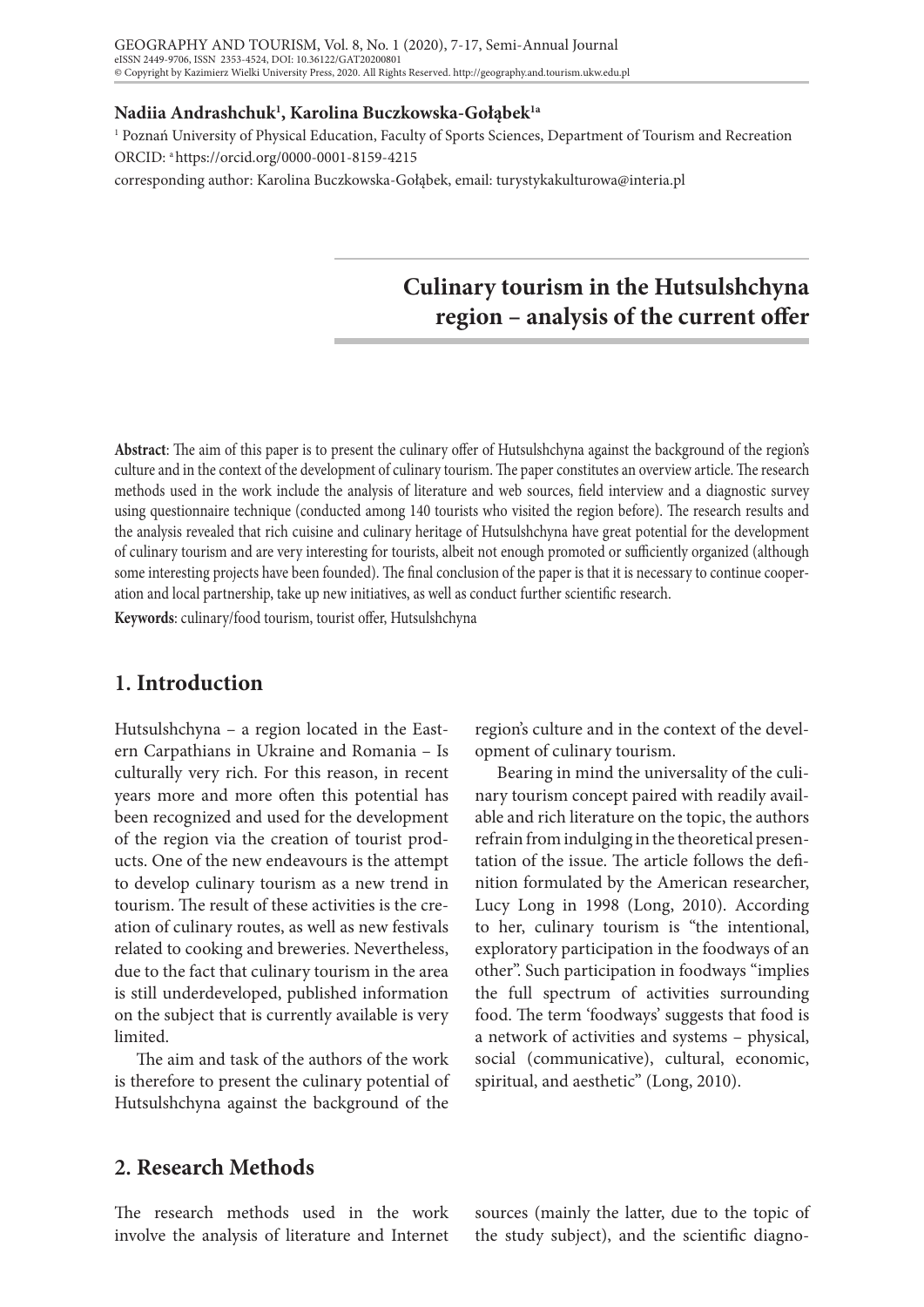## **Nadiia Andrashchuk1 , Karolina Buczkowska-Gołąbek1a**

1 Poznań University of Physical Education, Faculty of Sports Sciences, Department of Tourism and Recreation ORCID: a https://orcid.org/0000-0001-8159-4215

corresponding author: Karolina Buczkowska-Gołąbek, email: turystykakulturowa@interia.pl

# **Culinary tourism in the Hutsulshchyna region – analysis of the current offer**

**Abstract**: The aim of this paper is to present the culinary offer of Hutsulshchyna against the background of the region's culture and in the context of the development of culinary tourism. The paper constitutes an overview article. The research methods used in the work include the analysis of literature and web sources, field interview and a diagnostic survey using questionnaire technique (conducted among 140 tourists who visited the region before). The research results and the analysis revealed that rich cuisine and culinary heritage of Hutsulshchyna have great potential for the development of culinary tourism and are very interesting for tourists, albeit not enough promoted or sufficiently organized (although some interesting projects have been founded). The final conclusion of the paper is that it is necessary to continue cooperation and local partnership, take up new initiatives, as well as conduct further scientific research.

**Keywords**: culinary/food tourism, tourist offer, Hutsulshchyna

# **1. Introduction**

Hutsulshchyna – a region located in the Eastern Carpathians in Ukraine and Romania – Is culturally very rich. For this reason, in recent years more and more often this potential has been recognized and used for the development of the region via the creation of tourist products. One of the new endeavours is the attempt to develop culinary tourism as a new trend in tourism. The result of these activities is the creation of culinary routes, as well as new festivals related to cooking and breweries. Nevertheless, due to the fact that culinary tourism in the area is still underdeveloped, published information on the subject that is currently available is very limited.

The aim and task of the authors of the work is therefore to present the culinary potential of Hutsulshchyna against the background of the

region's culture and in the context of the development of culinary tourism.

Bearing in mind the universality of the culinary tourism concept paired with readily available and rich literature on the topic, the authors refrain from indulging in the theoretical presentation of the issue. The article follows the definition formulated by the American researcher, Lucy Long in 1998 (Long, 2010). According to her, culinary tourism is "the intentional, exploratory participation in the foodways of an other". Such participation in foodways "implies the full spectrum of activities surrounding food. The term 'foodways' suggests that food is a network of activities and systems – physical, social (communicative), cultural, economic, spiritual, and aesthetic" (Long, 2010).

## **2. Research Methods**

The research methods used in the work involve the analysis of literature and Internet sources (mainly the latter, due to the topic of the study subject), and the scientific diagno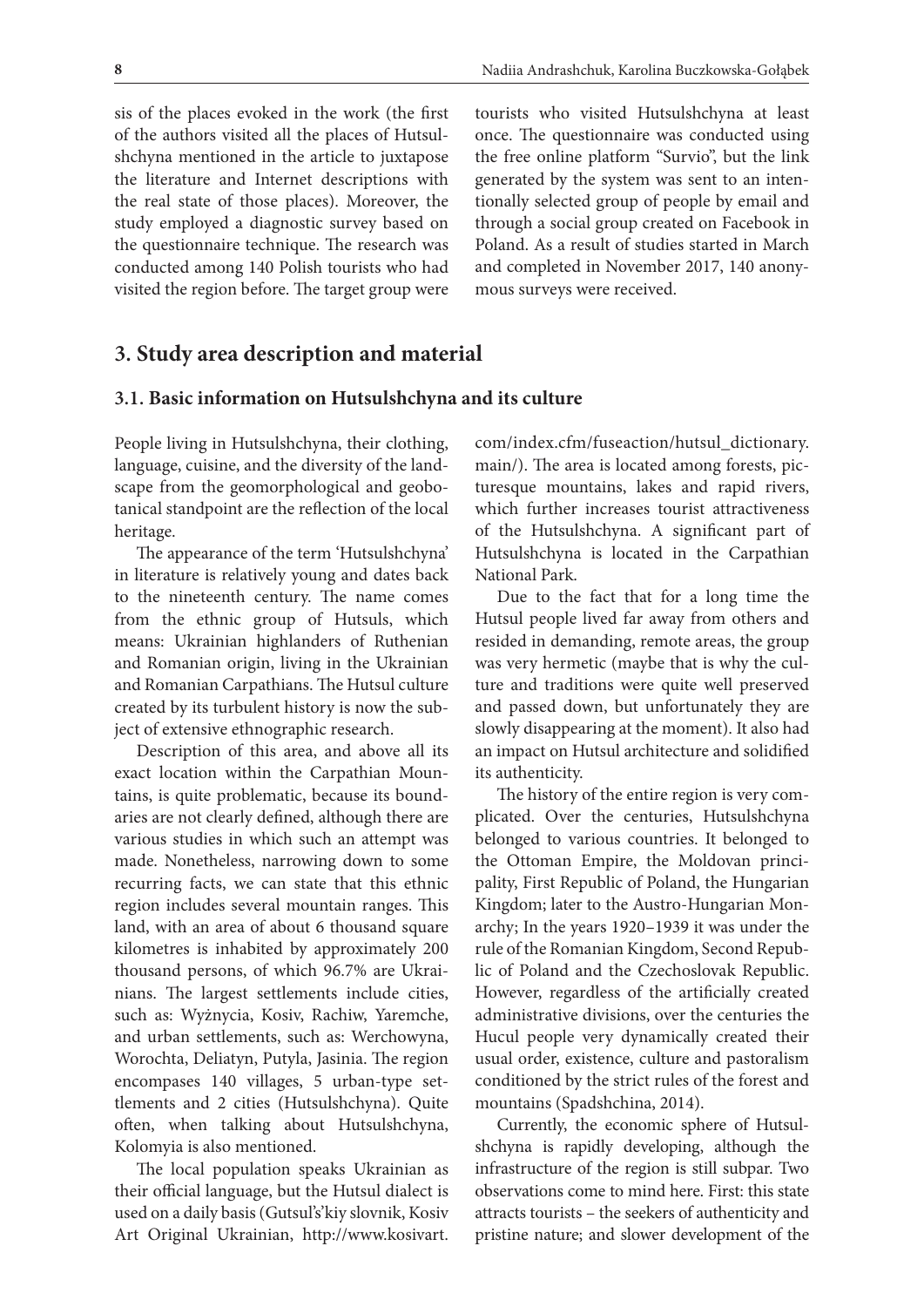sis of the places evoked in the work (the first of the authors visited all the places of Hutsulshchyna mentioned in the article to juxtapose the literature and Internet descriptions with the real state of those places). Moreover, the study employed a diagnostic survey based on the questionnaire technique. The research was conducted among 140 Polish tourists who had visited the region before. The target group were

tourists who visited Hutsulshchyna at least once. The questionnaire was conducted using the free online platform "Survio", but the link generated by the system was sent to an intentionally selected group of people by email and through a social group created on Facebook in Poland. As a result of studies started in March and completed in November 2017, 140 anonymous surveys were received.

## **3. Study area description and material**

#### **3.1. Basic information on Hutsulshchyna and its culture**

People living in Hutsulshchyna, their clothing, language, cuisine, and the diversity of the landscape from the geomorphological and geobotanical standpoint are the reflection of the local heritage.

The appearance of the term 'Hutsulshchyna' in literature is relatively young and dates back to the nineteenth century. The name comes from the ethnic group of Hutsuls, which means: Ukrainian highlanders of Ruthenian and Romanian origin, living in the Ukrainian and Romanian Carpathians. The Hutsul culture created by its turbulent history is now the subject of extensive ethnographic research.

Description of this area, and above all its exact location within the Carpathian Mountains, is quite problematic, because its boundaries are not clearly defined, although there are various studies in which such an attempt was made. Nonetheless, narrowing down to some recurring facts, we can state that this ethnic region includes several mountain ranges. This land, with an area of about 6 thousand square kilometres is inhabited by approximately 200 thousand persons, of which 96.7% are Ukrainians. The largest settlements include cities, such as: Wyżnycia, Kosiv, Rachiw, Yaremche, and urban settlements, such as: Werchowyna, Worochta, Deliatyn, Putyla, Jasinia. The region encompases 140 villages, 5 urban-type settlements and 2 cities (Hutsulshchyna). Quite often, when talking about Hutsulshchyna, Kolomyia is also mentioned.

The local population speaks Ukrainian as their official language, but the Hutsul dialect is used on a daily basis (Gutsul's'kiy slovnik, Kosiv Art Original Ukrainian, http://www.kosivart.

com/index.cfm/fuseaction/hutsul\_dictionary. main/). The area is located among forests, picturesque mountains, lakes and rapid rivers, which further increases tourist attractiveness of the Hutsulshchyna. A significant part of Hutsulshchyna is located in the Carpathian National Park.

Due to the fact that for a long time the Hutsul people lived far away from others and resided in demanding, remote areas, the group was very hermetic (maybe that is why the culture and traditions were quite well preserved and passed down, but unfortunately they are slowly disappearing at the moment). It also had an impact on Hutsul architecture and solidified its authenticity.

The history of the entire region is very complicated. Over the centuries, Hutsulshchyna belonged to various countries. It belonged to the Ottoman Empire, the Moldovan principality, First Republic of Poland, the Hungarian Kingdom; later to the Austro-Hungarian Monarchy; In the years 1920–1939 it was under the rule of the Romanian Kingdom, Second Republic of Poland and the Czechoslovak Republic. However, regardless of the artificially created administrative divisions, over the centuries the Hucul people very dynamically created their usual order, existence, culture and pastoralism conditioned by the strict rules of the forest and mountains (Spadshchina, 2014).

Currently, the economic sphere of Hutsulshchyna is rapidly developing, although the infrastructure of the region is still subpar. Two observations come to mind here. First: this state attracts tourists – the seekers of authenticity and pristine nature; and slower development of the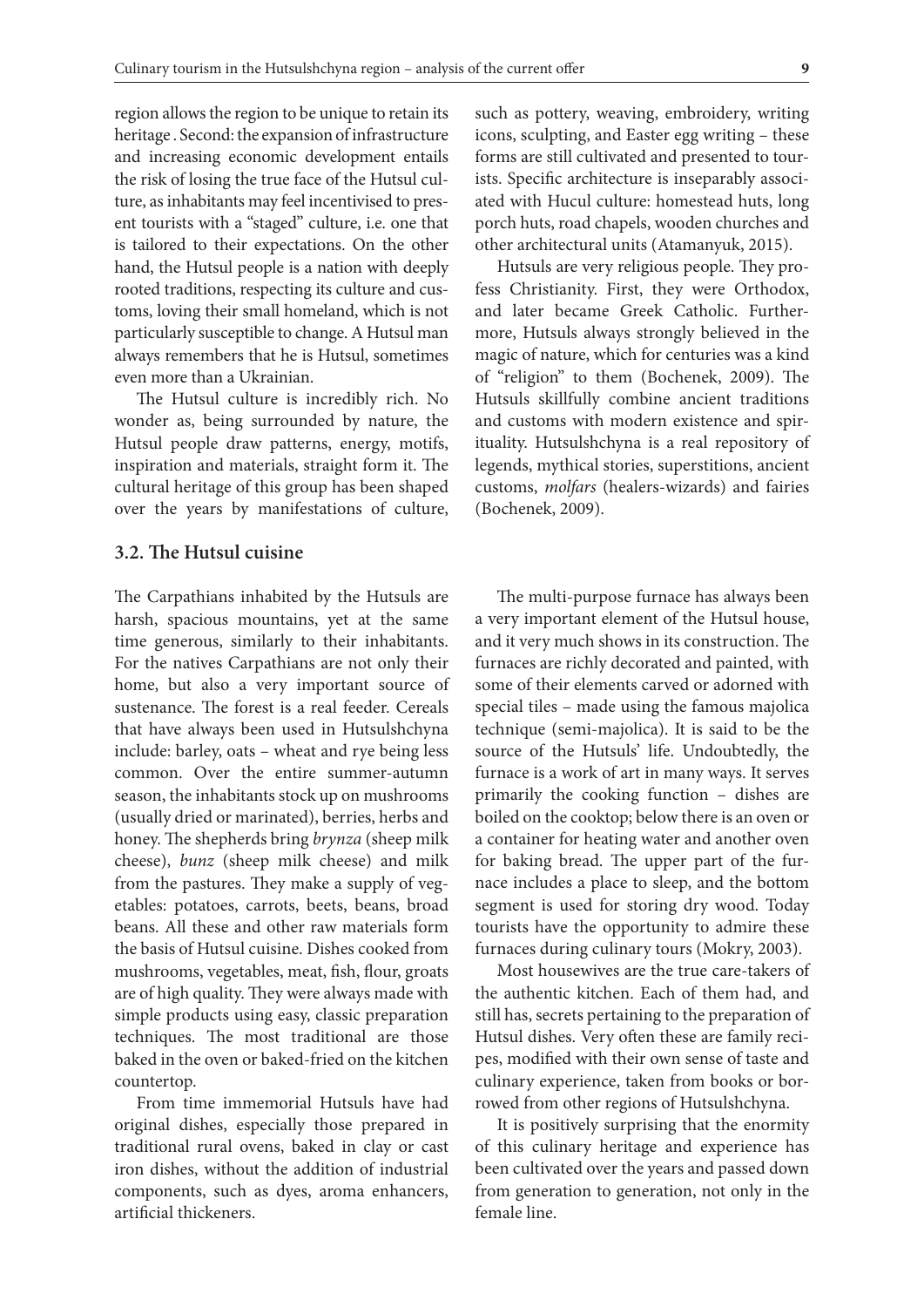region allows the region to be unique to retain its heritage . Second: the expansion of infrastructure and increasing economic development entails the risk of losing the true face of the Hutsul culture, as inhabitants may feel incentivised to present tourists with a "staged" culture, i.e. one that is tailored to their expectations. On the other hand, the Hutsul people is a nation with deeply rooted traditions, respecting its culture and customs, loving their small homeland, which is not particularly susceptible to change. A Hutsul man always remembers that he is Hutsul, sometimes even more than a Ukrainian.

The Hutsul culture is incredibly rich. No wonder as, being surrounded by nature, the Hutsul people draw patterns, energy, motifs, inspiration and materials, straight form it. The cultural heritage of this group has been shaped over the years by manifestations of culture,

### **3.2. The Hutsul cuisine**

The Carpathians inhabited by the Hutsuls are harsh, spacious mountains, yet at the same time generous, similarly to their inhabitants. For the natives Carpathians are not only their home, but also a very important source of sustenance. The forest is a real feeder. Cereals that have always been used in Hutsulshchyna include: barley, oats – wheat and rye being less common. Over the entire summer-autumn season, the inhabitants stock up on mushrooms (usually dried or marinated), berries, herbs and honey. The shepherds bring *brynza* (sheep milk cheese), *bunz* (sheep milk cheese) and milk from the pastures. They make a supply of vegetables: potatoes, carrots, beets, beans, broad beans. All these and other raw materials form the basis of Hutsul cuisine. Dishes cooked from mushrooms, vegetables, meat, fish, flour, groats are of high quality. They were always made with simple products using easy, classic preparation techniques. The most traditional are those baked in the oven or baked-fried on the kitchen countertop.

From time immemorial Hutsuls have had original dishes, especially those prepared in traditional rural ovens, baked in clay or cast iron dishes, without the addition of industrial components, such as dyes, aroma enhancers, artificial thickeners.

such as pottery, weaving, embroidery, writing icons, sculpting, and Easter egg writing – these forms are still cultivated and presented to tourists. Specific architecture is inseparably associated with Hucul culture: homestead huts, long porch huts, road chapels, wooden churches and other architectural units (Atamanyuk, 2015).

Hutsuls are very religious people. They profess Christianity. First, they were Orthodox, and later became Greek Catholic. Furthermore, Hutsuls always strongly believed in the magic of nature, which for centuries was a kind of "religion" to them (Bochenek, 2009). The Hutsuls skillfully combine ancient traditions and customs with modern existence and spirituality. Hutsulshchyna is a real repository of legends, mythical stories, superstitions, ancient customs, *molfars* (healers-wizards) and fairies (Bochenek, 2009).

The multi-purpose furnace has always been a very important element of the Hutsul house, and it very much shows in its construction. The furnaces are richly decorated and painted, with some of their elements carved or adorned with special tiles – made using the famous majolica technique (semi-majolica). It is said to be the source of the Hutsuls' life. Undoubtedly, the furnace is a work of art in many ways. It serves primarily the cooking function – dishes are boiled on the cooktop; below there is an oven or a container for heating water and another oven for baking bread. The upper part of the furnace includes a place to sleep, and the bottom segment is used for storing dry wood. Today tourists have the opportunity to admire these furnaces during culinary tours (Mokry, 2003).

Most housewives are the true care-takers of the authentic kitchen. Each of them had, and still has, secrets pertaining to the preparation of Hutsul dishes. Very often these are family recipes, modified with their own sense of taste and culinary experience, taken from books or borrowed from other regions of Hutsulshchyna.

It is positively surprising that the enormity of this culinary heritage and experience has been cultivated over the years and passed down from generation to generation, not only in the female line.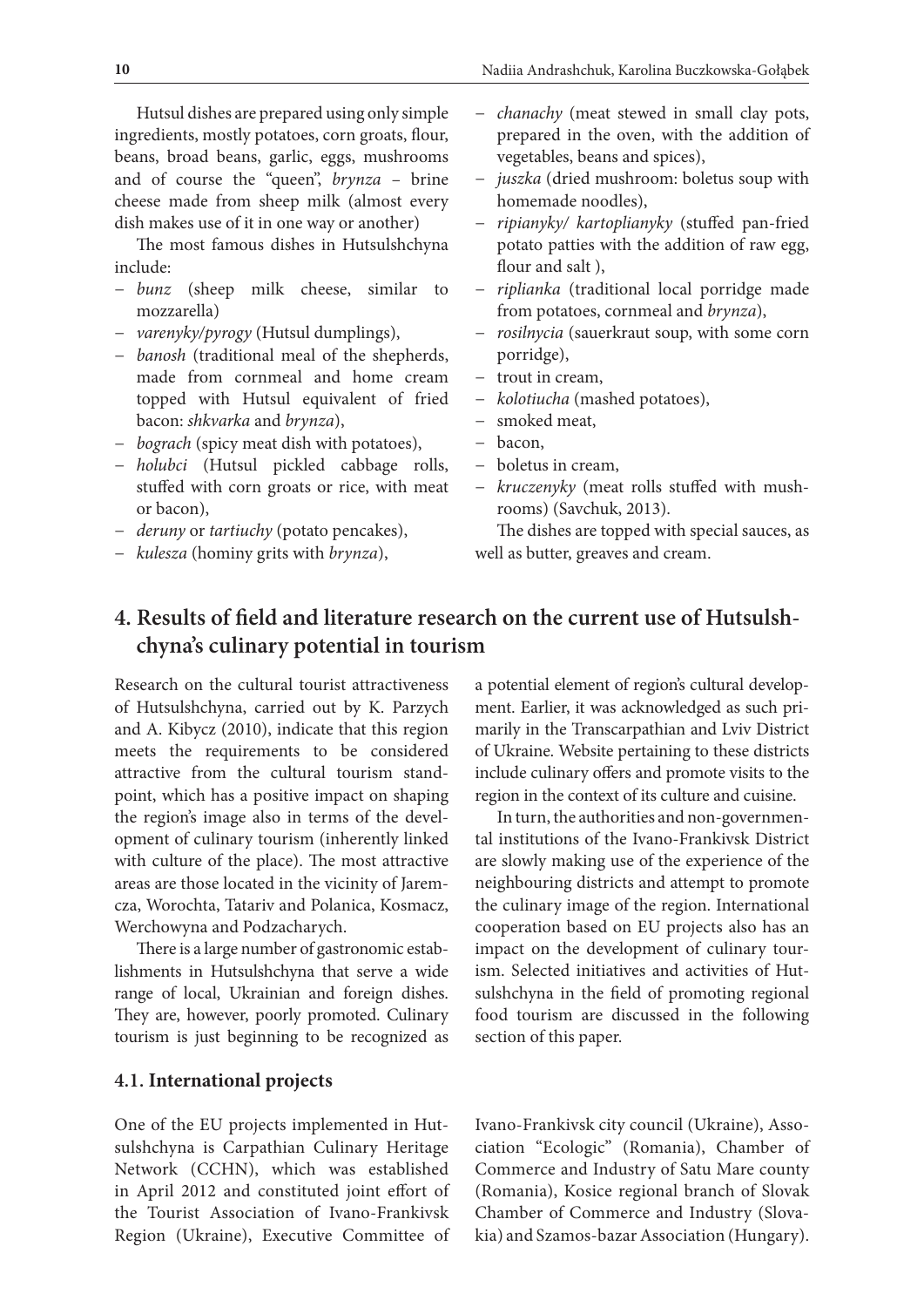Hutsul dishes are prepared using only simple ingredients, mostly potatoes, corn groats, flour, beans, broad beans, garlic, eggs, mushrooms and of course the "queen", *brynza* – brine cheese made from sheep milk (almost every dish makes use of it in one way or another)

The most famous dishes in Hutsulshchyna include:

- − *bunz* (sheep milk cheese, similar to mozzarella)
- − *varenyky/pyrogy* (Hutsul dumplings),
- − *banosh* (traditional meal of the shepherds, made from cornmeal and home cream topped with Hutsul equivalent of fried bacon: *shkvarka* and *brynza*),
- − *bograch* (spicy meat dish with potatoes),
- − *holubci* (Hutsul pickled cabbage rolls, stuffed with corn groats or rice, with meat or bacon),
- − *deruny* or *tartiuchy* (potato pencakes),
- − *kulesza* (hominy grits with *brynza*),
- − *chanachy* (meat stewed in small clay pots, prepared in the oven, with the addition of vegetables, beans and spices),
- − *juszka* (dried mushroom: boletus soup with homemade noodles),
- − *ripianyky/ kartoplianyky* (stuffed pan-fried potato patties with the addition of raw egg, flour and salt ),
- − *riplianka* (traditional local porridge made from potatoes, cornmeal and *brynza*),
- − *rosilnycia* (sauerkraut soup, with some corn porridge),
- − trout in cream,
- − *kolotiucha* (mashed potatoes),
- smoked meat,
- − bacon,
- − boletus in cream,
- − *kruczenyky* (meat rolls stuffed with mushrooms) (Savchuk, 2013).

The dishes are topped with special sauces, as well as butter, greaves and cream.

# **4. Results of field and literature research on the current use of Hutsulshchyna's culinary potential in tourism**

Research on the cultural tourist attractiveness of Hutsulshchyna, carried out by K. Parzych and A. Kibycz (2010), indicate that this region meets the requirements to be considered attractive from the cultural tourism standpoint, which has a positive impact on shaping the region's image also in terms of the development of culinary tourism (inherently linked with culture of the place). The most attractive areas are those located in the vicinity of Jaremcza, Worochta, Tatariv and Polanica, Kosmacz, Werchowyna and Podzacharych.

There is a large number of gastronomic establishments in Hutsulshchyna that serve a wide range of local, Ukrainian and foreign dishes. They are, however, poorly promoted. Culinary tourism is just beginning to be recognized as

### **4.1. International projects**

One of the EU projects implemented in Hutsulshchyna is Carpathian Culinary Heritage Network (CCHN), which was established in April 2012 and constituted joint effort of the Tourist Association of Ivano-Frankivsk Region (Ukraine), Executive Committee of a potential element of region's cultural development. Earlier, it was acknowledged as such primarily in the Transcarpathian and Lviv District of Ukraine. Website pertaining to these districts include culinary offers and promote visits to the region in the context of its culture and cuisine.

In turn, the authorities and non-governmental institutions of the Ivano-Frankivsk District are slowly making use of the experience of the neighbouring districts and attempt to promote the culinary image of the region. International cooperation based on EU projects also has an impact on the development of culinary tourism. Selected initiatives and activities of Hutsulshchyna in the field of promoting regional food tourism are discussed in the following section of this paper.

Ivano-Frankivsk city council (Ukraine), Association "Ecologic" (Romania), Chamber of Commerce and Industry of Satu Mare county (Romania), Kosice regional branch of Slovak Chamber of Commerce and Industry (Slovakia) and Szamos-bazar Association (Hungary).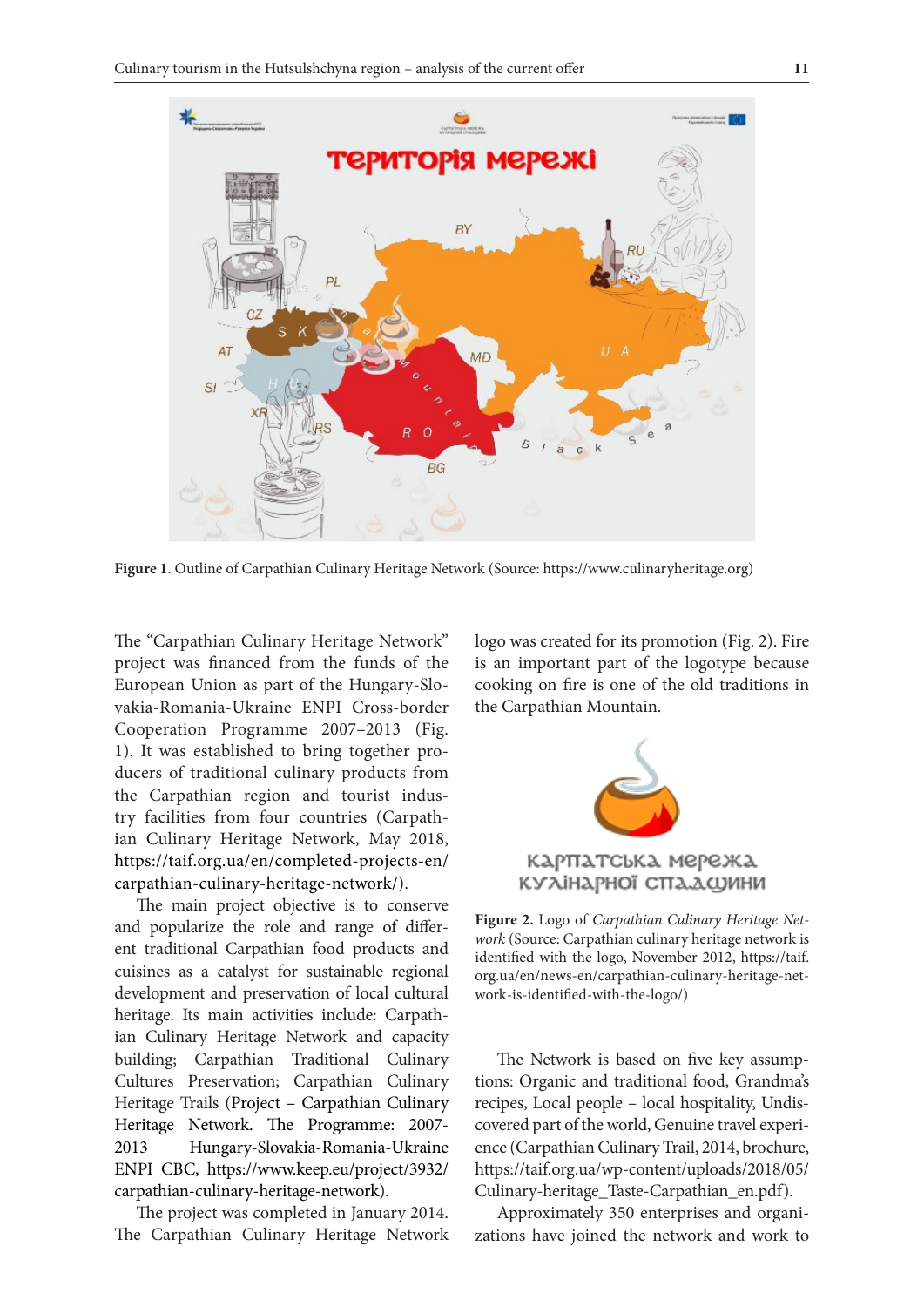

**Figure 1**. Outline of Carpathian Culinary Heritage Network (Source: https://www.culinaryheritage.org)

The "Carpathian Culinary Heritage Network" project was financed from the funds of the European Union as part of the Hungary-Slovakia-Romania-Ukraine ENPI Cross-border Cooperation Programme 2007–2013 (Fig. 1). It was established to bring together producers of traditional culinary products from the Carpathian region and tourist industry facilities from four countries (Carpathian Culinary Heritage Network, May 2018, https://taif.org.ua/en/completed-projects-en/ carpathian-culinary-heritage-network/).

The main project objective is to conserve and popularize the role and range of different traditional Carpathian food products and cuisines as a catalyst for sustainable regional development and preservation of local cultural heritage. Its main activities include: Carpathian Culinary Heritage Network and capacity building; Carpathian Traditional Culinary Cultures Preservation; Carpathian Culinary Heritage Trails (Project – Carpathian Culinary Heritage Network. The Programme: 2007- 2013 Hungary-Slovakia-Romania-Ukraine ENPI CBC, https://www.keep.eu/project/3932/ carpathian-culinary-heritage-network).

The project was completed in January 2014. The Carpathian Culinary Heritage Network logo was created for its promotion (Fig. 2). Fire is an important part of the logotype because cooking on fire is one of the old traditions in the Carpathian Mountain.



**Figure 2.** Logo of *Carpathian Culinary Heritage Network* (Source: Carpathian culinary heritage network is identified with the logo, November 2012, https://taif. org.ua/en/news-en/carpathian-culinary-heritage-network-is-identified-with-the-logo/)

The Network is based on five key assumptions: Organic and traditional food, Grandma's recipes, Local people – local hospitality, Undiscovered part of the world, Genuine travel experience (Carpathian Culinary Trail, 2014, brochure, https://taif.org.ua/wp-content/uploads/2018/05/ Culinary-heritage\_Taste-Carpathian\_en.pdf).

Approximately 350 enterprises and organizations have joined the network and work to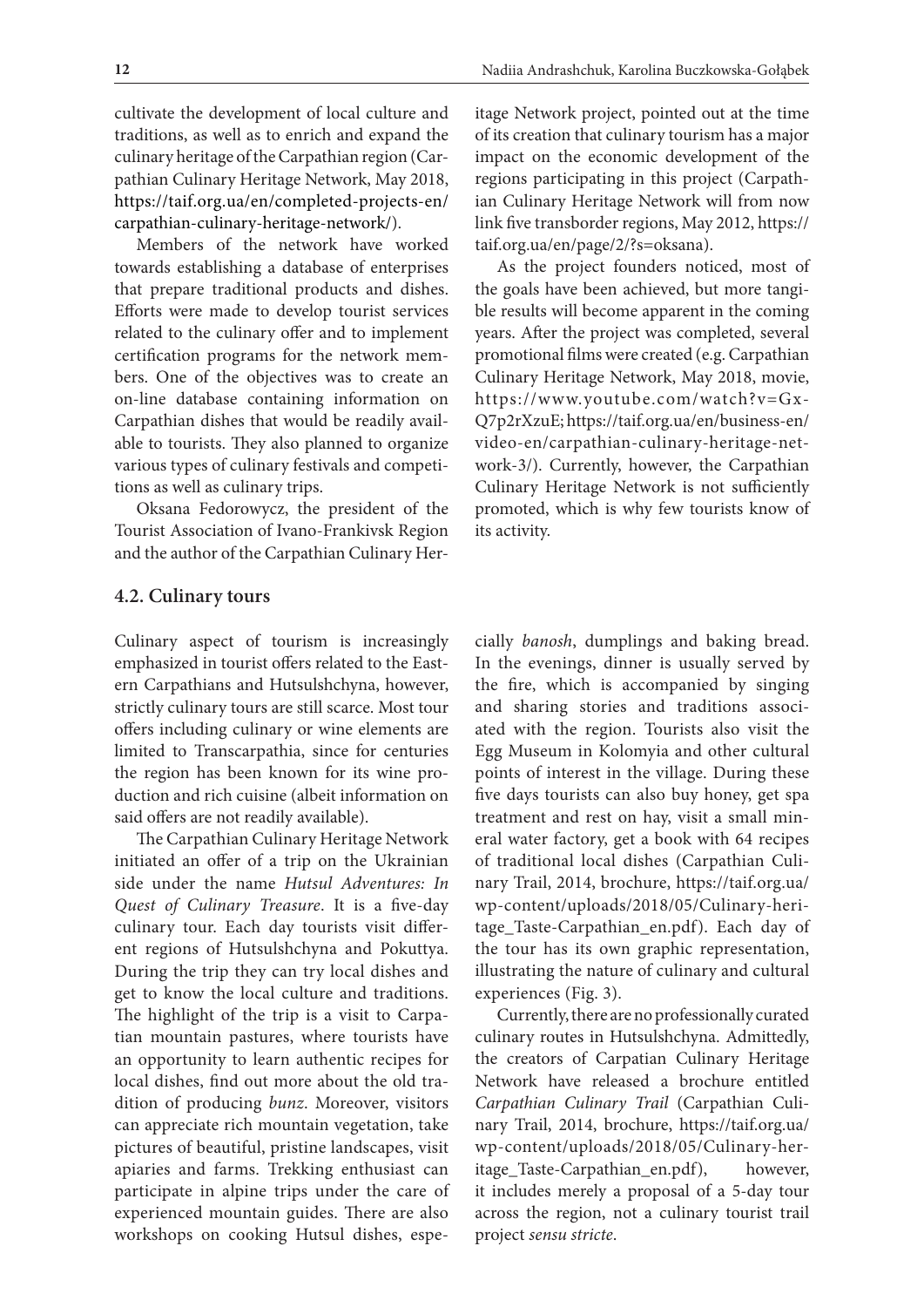cultivate the development of local culture and traditions, as well as to enrich and expand the culinary heritage of the Carpathian region (Carpathian Culinary Heritage Network, May 2018, https://taif.org.ua/en/completed-projects-en/ carpathian-culinary-heritage-network/).

Members of the network have worked towards establishing a database of enterprises that prepare traditional products and dishes. Efforts were made to develop tourist services related to the culinary offer and to implement certification programs for the network members. One of the objectives was to create an on-line database containing information on Carpathian dishes that would be readily available to tourists. They also planned to organize various types of culinary festivals and competitions as well as culinary trips.

Oksana Fedorowycz, the president of the Tourist Association of Ivano-Frankivsk Region and the author of the Carpathian Culinary Her-

#### **4.2. Culinary tours**

Culinary aspect of tourism is increasingly emphasized in tourist offers related to the Eastern Carpathians and Hutsulshchyna, however, strictly culinary tours are still scarce. Most tour offers including culinary or wine elements are limited to Transcarpathia, since for centuries the region has been known for its wine production and rich cuisine (albeit information on said offers are not readily available).

The Carpathian Culinary Heritage Network initiated an offer of a trip on the Ukrainian side under the name *Hutsul Adventures: In Quest of Culinary Treasure*. It is a five-day culinary tour. Each day tourists visit different regions of Hutsulshchyna and Pokuttya. During the trip they can try local dishes and get to know the local culture and traditions. The highlight of the trip is a visit to Carpatian mountain pastures, where tourists have an opportunity to learn authentic recipes for local dishes, find out more about the old tradition of producing *bunz*. Moreover, visitors can appreciate rich mountain vegetation, take pictures of beautiful, pristine landscapes, visit apiaries and farms. Trekking enthusiast can participate in alpine trips under the care of experienced mountain guides. There are also workshops on cooking Hutsul dishes, espeitage Network project, pointed out at the time of its creation that culinary tourism has a major impact on the economic development of the regions participating in this project (Carpathian Culinary Heritage Network will from now link five transborder regions, May 2012, https:// taif.org.ua/en/page/2/?s=oksana).

As the project founders noticed, most of the goals have been achieved, but more tangible results will become apparent in the coming years. After the project was completed, several promotional films were created (e.g. Carpathian Culinary Heritage Network, May 2018, movie, https://www.youtube.com/watch?v=Gx-Q7p2rXzuE; https://taif.org.ua/en/business-en/ video-en/carpathian-culinary-heritage-network-3/). Currently, however, the Carpathian Culinary Heritage Network is not sufficiently promoted, which is why few tourists know of its activity.

cially *banosh*, dumplings and baking bread. In the evenings, dinner is usually served by the fire, which is accompanied by singing and sharing stories and traditions associated with the region. Tourists also visit the Egg Museum in Kolomyia and other cultural points of interest in the village. During these five days tourists can also buy honey, get spa treatment and rest on hay, visit a small mineral water factory, get a book with 64 recipes of traditional local dishes (Carpathian Culinary Trail, 2014, brochure, https://taif.org.ua/ wp-content/uploads/2018/05/Culinary-heritage\_Taste-Carpathian\_en.pdf). Each day of the tour has its own graphic representation, illustrating the nature of culinary and cultural experiences (Fig. 3).

Currently, there are no professionally curated culinary routes in Hutsulshchyna. Admittedly, the creators of Carpatian Culinary Heritage Network have released a brochure entitled *Carpathian Culinary Trail* (Carpathian Culinary Trail, 2014, brochure, https://taif.org.ua/ wp-content/uploads/2018/05/Culinary-heritage\_Taste-Carpathian\_en.pdf), however, it includes merely a proposal of a 5-day tour across the region, not a culinary tourist trail project *sensu stricte*.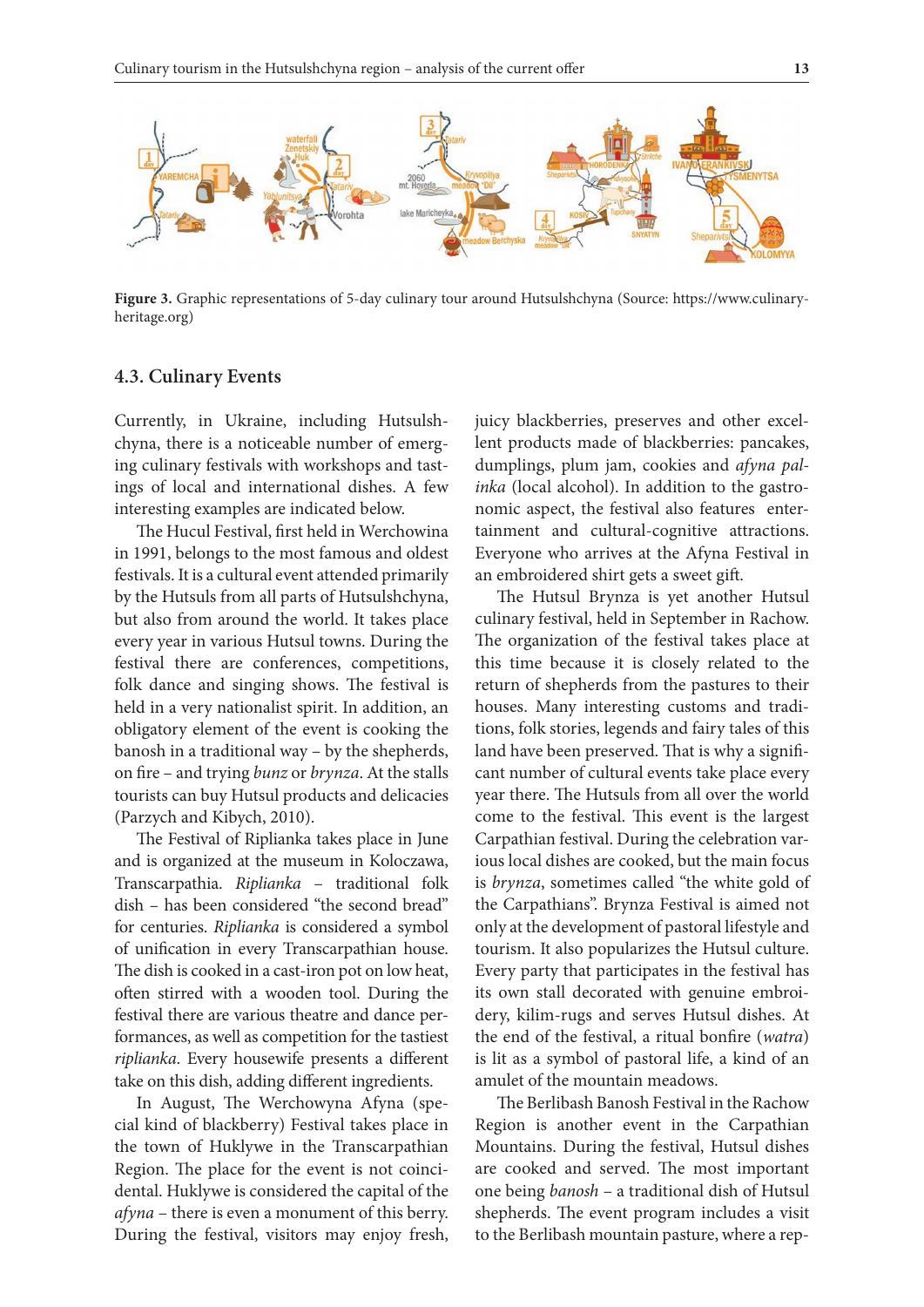

**Figure 3.** Graphic representations of 5-day culinary tour around Hutsulshchyna (Source: https://www.culinaryheritage.org)

### **4.3. Culinary Events**

Currently, in Ukraine, including Hutsulshchyna, there is a noticeable number of emerging culinary festivals with workshops and tastings of local and international dishes. A few interesting examples are indicated below.

The Hucul Festival, first held in Werchowina in 1991, belongs to the most famous and oldest festivals. It is a cultural event attended primarily by the Hutsuls from all parts of Hutsulshchyna, but also from around the world. It takes place every year in various Hutsul towns. During the festival there are conferences, competitions, folk dance and singing shows. The festival is held in a very nationalist spirit. In addition, an obligatory element of the event is cooking the banosh in a traditional way – by the shepherds, on fire – and trying *bunz* or *brynza*. At the stalls tourists can buy Hutsul products and delicacies (Parzych and Kibych, 2010).

The Festival of Riplianka takes place in June and is organized at the museum in Koloczawa, Transcarpathia. *Riplianka* – traditional folk dish – has been considered "the second bread" for centuries. *Riplianka* is considered a symbol of unification in every Transcarpathian house. The dish is cooked in a cast-iron pot on low heat, often stirred with a wooden tool. During the festival there are various theatre and dance performances, as well as competition for the tastiest *riplianka*. Every housewife presents a different take on this dish, adding different ingredients.

In August, The Werchowyna Afyna (special kind of blackberry) Festival takes place in the town of Huklywe in the Transcarpathian Region. The place for the event is not coincidental. Huklywe is considered the capital of the *afyna* – there is even a monument of this berry. During the festival, visitors may enjoy fresh, juicy blackberries, preserves and other excellent products made of blackberries: pancakes, dumplings, plum jam, cookies and *afyna palinka* (local alcohol). In addition to the gastronomic aspect, the festival also features entertainment and cultural-cognitive attractions. Everyone who arrives at the Afyna Festival in an embroidered shirt gets a sweet gift.

The Hutsul Brynza is yet another Hutsul culinary festival, held in September in Rachow. The organization of the festival takes place at this time because it is closely related to the return of shepherds from the pastures to their houses. Many interesting customs and traditions, folk stories, legends and fairy tales of this land have been preserved. That is why a significant number of cultural events take place every year there. The Hutsuls from all over the world come to the festival. This event is the largest Carpathian festival. During the celebration various local dishes are cooked, but the main focus is *brynza*, sometimes called "the white gold of the Carpathians". Brynza Festival is aimed not only at the development of pastoral lifestyle and tourism. It also popularizes the Hutsul culture. Every party that participates in the festival has its own stall decorated with genuine embroidery, kilim-rugs and serves Hutsul dishes. At the end of the festival, a ritual bonfire (*watra*) is lit as a symbol of pastoral life, a kind of an amulet of the mountain meadows.

The Berlibash Banosh Festival in the Rachow Region is another event in the Carpathian Mountains. During the festival, Hutsul dishes are cooked and served. The most important one being *banosh* – a traditional dish of Hutsul shepherds. The event program includes a visit to the Berlibash mountain pasture, where a rep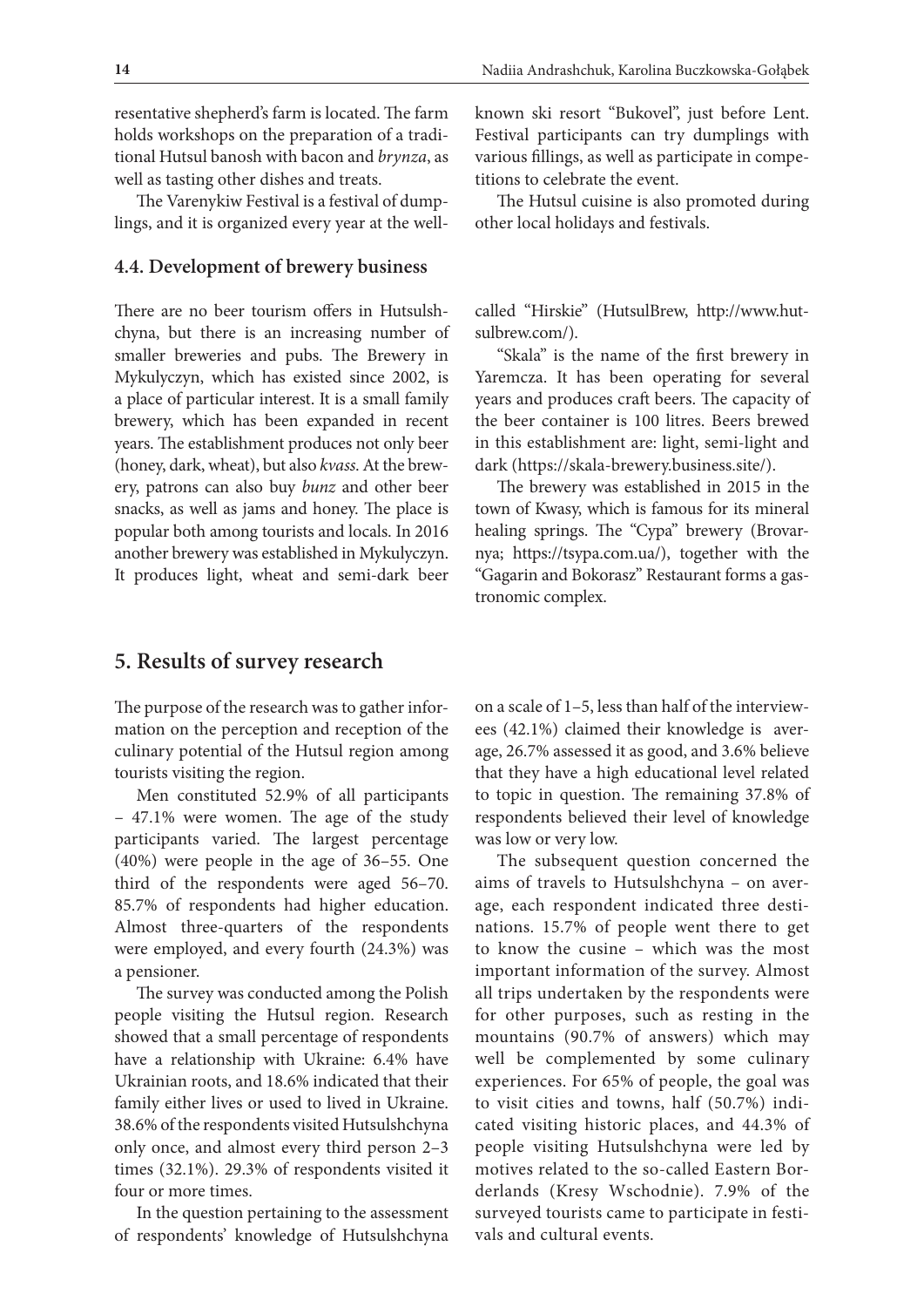resentative shepherd's farm is located. The farm holds workshops on the preparation of a traditional Hutsul banosh with bacon and *brynza*, as well as tasting other dishes and treats.

The Varenykiw Festival is a festival of dumplings, and it is organized every year at the well-

#### **4.4. Development of brewery business**

There are no beer tourism offers in Hutsulshchyna, but there is an increasing number of smaller breweries and pubs. The Brewery in Mykulyczyn, which has existed since 2002, is a place of particular interest. It is a small family brewery, which has been expanded in recent years. The establishment produces not only beer (honey, dark, wheat), but also *kvass*. At the brewery, patrons can also buy *bunz* and other beer snacks, as well as jams and honey. The place is popular both among tourists and locals. In 2016 another brewery was established in Mykulyczyn. It produces light, wheat and semi-dark beer

**5. Results of survey research**

The purpose of the research was to gather information on the perception and reception of the culinary potential of the Hutsul region among tourists visiting the region.

Men constituted 52.9% of all participants – 47.1% were women. The age of the study participants varied. The largest percentage (40%) were people in the age of 36–55. One third of the respondents were aged 56–70. 85.7% of respondents had higher education. Almost three-quarters of the respondents were employed, and every fourth (24.3%) was a pensioner.

The survey was conducted among the Polish people visiting the Hutsul region. Research showed that a small percentage of respondents have a relationship with Ukraine: 6.4% have Ukrainian roots, and 18.6% indicated that their family either lives or used to lived in Ukraine. 38.6% of the respondents visited Hutsulshchyna only once, and almost every third person 2–3 times (32.1%). 29.3% of respondents visited it four or more times.

In the question pertaining to the assessment of respondents' knowledge of Hutsulshchyna

known ski resort "Bukovel", just before Lent. Festival participants can try dumplings with various fillings, as well as participate in competitions to celebrate the event.

The Hutsul cuisine is also promoted during other local holidays and festivals.

called "Hirskie" (HutsulBrew, http://www.hutsulbrew.com/).

"Skala" is the name of the first brewery in Yaremcza. It has been operating for several years and produces craft beers. The capacity of the beer container is 100 litres. Beers brewed in this establishment are: light, semi-light and dark (https://skala-brewery.business.site/).

The brewery was established in 2015 in the town of Kwasy, which is famous for its mineral healing springs. The "Cypa" brewery (Brovarnya; https://tsypa.com.ua/), together with the "Gagarin and Bokorasz" Restaurant forms a gastronomic complex.

on a scale of 1–5, less than half of the interviewees (42.1%) claimed their knowledge is average, 26.7% assessed it as good, and 3.6% believe that they have a high educational level related to topic in question. The remaining 37.8% of respondents believed their level of knowledge was low or very low.

The subsequent question concerned the aims of travels to Hutsulshchyna – on average, each respondent indicated three destinations. 15.7% of people went there to get to know the cusine – which was the most important information of the survey. Almost all trips undertaken by the respondents were for other purposes, such as resting in the mountains (90.7% of answers) which may well be complemented by some culinary experiences. For 65% of people, the goal was to visit cities and towns, half (50.7%) indicated visiting historic places, and 44.3% of people visiting Hutsulshchyna were led by motives related to the so-called Eastern Borderlands (Kresy Wschodnie). 7.9% of the surveyed tourists came to participate in festivals and cultural events.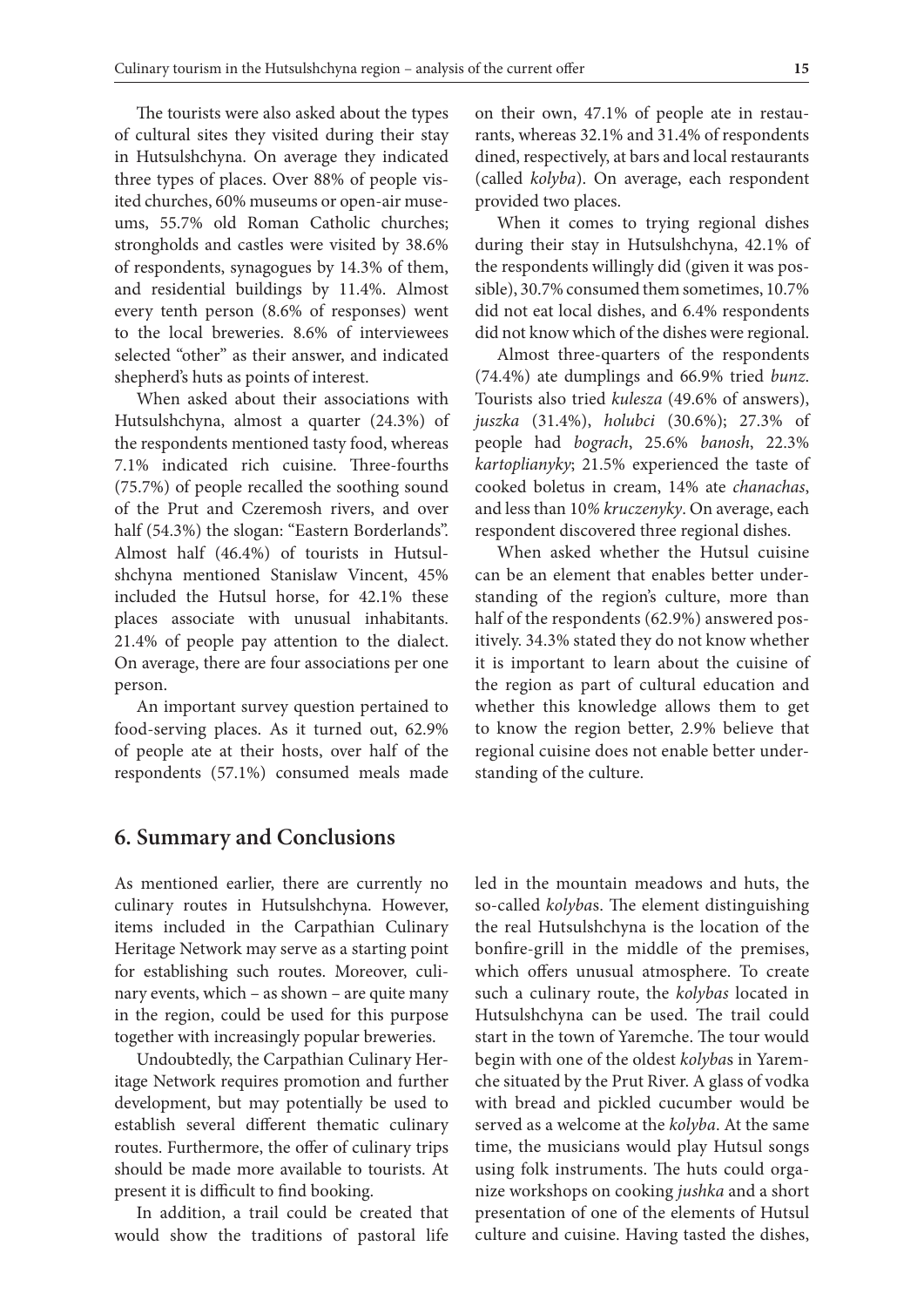The tourists were also asked about the types of cultural sites they visited during their stay in Hutsulshchyna. On average they indicated three types of places. Over 88% of people visited churches, 60% museums or open-air museums, 55.7% old Roman Catholic churches; strongholds and castles were visited by 38.6% of respondents, synagogues by 14.3% of them, and residential buildings by 11.4%. Almost every tenth person (8.6% of responses) went to the local breweries. 8.6% of interviewees selected "other" as their answer, and indicated shepherd's huts as points of interest.

When asked about their associations with Hutsulshchyna, almost a quarter (24.3%) of the respondents mentioned tasty food, whereas 7.1% indicated rich cuisine. Three-fourths (75.7%) of people recalled the soothing sound of the Prut and Czeremosh rivers, and over half (54.3%) the slogan: "Eastern Borderlands". Almost half (46.4%) of tourists in Hutsulshchyna mentioned Stanislaw Vincent, 45% included the Hutsul horse, for 42.1% these places associate with unusual inhabitants. 21.4% of people pay attention to the dialect. On average, there are four associations per one person.

An important survey question pertained to food-serving places. As it turned out, 62.9% of people ate at their hosts, over half of the respondents (57.1%) consumed meals made on their own, 47.1% of people ate in restaurants, whereas 32.1% and 31.4% of respondents dined, respectively, at bars and local restaurants (called *kolyba*). On average, each respondent provided two places.

When it comes to trying regional dishes during their stay in Hutsulshchyna, 42.1% of the respondents willingly did (given it was possible), 30.7% consumed them sometimes, 10.7% did not eat local dishes, and 6.4% respondents did not know which of the dishes were regional.

Almost three-quarters of the respondents (74.4%) ate dumplings and 66.9% tried *bunz*. Tourists also tried *kulesza* (49.6% of answers), *juszka* (31.4%), *holubci* (30.6%); 27.3% of people had *bograch*, 25.6% *banosh*, 22.3% *kartoplianyky*; 21.5% experienced the taste of cooked boletus in cream, 14% ate *chanachas*, and less than 10*% kruczenyky*. On average, each respondent discovered three regional dishes.

When asked whether the Hutsul cuisine can be an element that enables better understanding of the region's culture, more than half of the respondents (62.9%) answered positively. 34.3% stated they do not know whether it is important to learn about the cuisine of the region as part of cultural education and whether this knowledge allows them to get to know the region better, 2.9% believe that regional cuisine does not enable better understanding of the culture.

## **6. Summary and Conclusions**

As mentioned earlier, there are currently no culinary routes in Hutsulshchyna. However, items included in the Carpathian Culinary Heritage Network may serve as a starting point for establishing such routes. Moreover, culinary events, which – as shown – are quite many in the region, could be used for this purpose together with increasingly popular breweries.

Undoubtedly, the Carpathian Culinary Heritage Network requires promotion and further development, but may potentially be used to establish several different thematic culinary routes. Furthermore, the offer of culinary trips should be made more available to tourists. At present it is difficult to find booking.

In addition, a trail could be created that would show the traditions of pastoral life led in the mountain meadows and huts, the so-called *kolyba*s. The element distinguishing the real Hutsulshchyna is the location of the bonfire-grill in the middle of the premises, which offers unusual atmosphere. To create such a culinary route, the *kolybas* located in Hutsulshchyna can be used. The trail could start in the town of Yaremche. The tour would begin with one of the oldest *kolyba*s in Yaremche situated by the Prut River. A glass of vodka with bread and pickled cucumber would be served as a welcome at the *kolyba*. At the same time, the musicians would play Hutsul songs using folk instruments. The huts could organize workshops on cooking *jushka* and a short presentation of one of the elements of Hutsul culture and cuisine. Having tasted the dishes,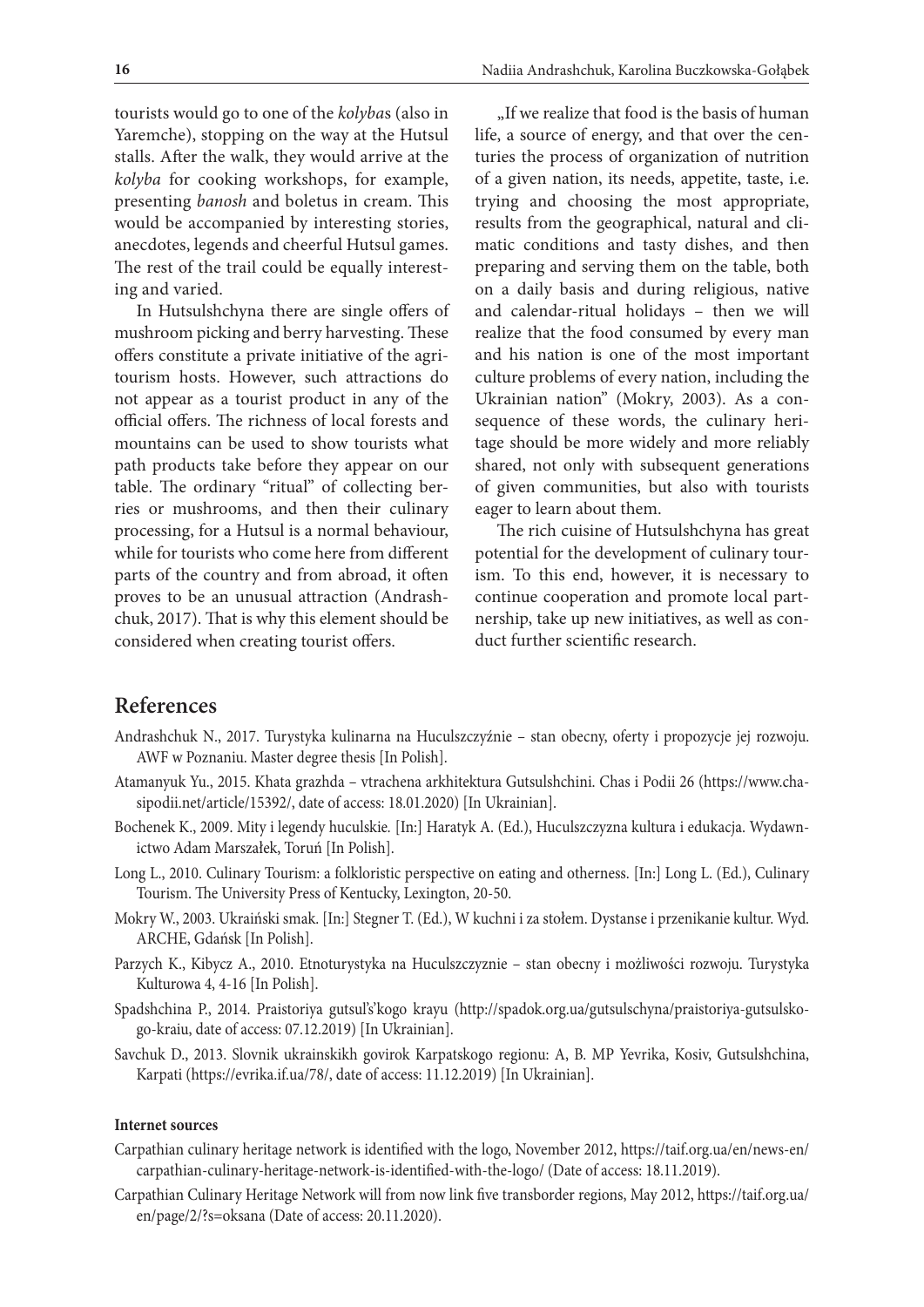tourists would go to one of the *kolyba*s (also in Yaremche), stopping on the way at the Hutsul stalls. After the walk, they would arrive at the *kolyba* for cooking workshops, for example, presenting *banosh* and boletus in cream. This would be accompanied by interesting stories, anecdotes, legends and cheerful Hutsul games. The rest of the trail could be equally interesting and varied.

In Hutsulshchyna there are single offers of mushroom picking and berry harvesting. These offers constitute a private initiative of the agritourism hosts. However, such attractions do not appear as a tourist product in any of the official offers. The richness of local forests and mountains can be used to show tourists what path products take before they appear on our table. The ordinary "ritual" of collecting berries or mushrooms, and then their culinary processing, for a Hutsul is a normal behaviour, while for tourists who come here from different parts of the country and from abroad, it often proves to be an unusual attraction (Andrashchuk, 2017). That is why this element should be considered when creating tourist offers.

"If we realize that food is the basis of human life, a source of energy, and that over the centuries the process of organization of nutrition of a given nation, its needs, appetite, taste, i.e. trying and choosing the most appropriate, results from the geographical, natural and climatic conditions and tasty dishes, and then preparing and serving them on the table, both on a daily basis and during religious, native and calendar-ritual holidays – then we will realize that the food consumed by every man and his nation is one of the most important culture problems of every nation, including the Ukrainian nation" (Mokry, 2003). As a consequence of these words, the culinary heritage should be more widely and more reliably shared, not only with subsequent generations of given communities, but also with tourists eager to learn about them.

The rich cuisine of Hutsulshchyna has great potential for the development of culinary tourism. To this end, however, it is necessary to continue cooperation and promote local partnership, take up new initiatives, as well as conduct further scientific research.

## **References**

- Andrashchuk N., 2017. Turystyka kulinarna na Huculszczyźnie stan obecny, oferty i propozycje jej rozwoju. AWF w Poznaniu. Master degree thesis [In Polish].
- Atamanyuk Yu., 2015. Khata grazhda vtrachena arkhіtektura Gutsulshchini. Chas i Podii 26 (https://www.chasipodii.net/article/15392/, date of access: 18.01.2020) [In Ukrainian].
- Bochenek K., 2009. Mity i legendy huculskie*.* [In:] Haratyk A. (Ed.), Huculszczyzna kultura i edukacja. Wydawnictwo Adam Marszałek, Toruń [In Polish].
- Long L., 2010. Culinary Tourism: a folkloristic perspective on eating and otherness. [In:] Long L. (Ed.), Culinary Tourism. The University Press of Kentucky, Lexington, 20-50.
- Mokry W., 2003. Ukraiński smak. [In:] Stegner T. (Ed.), W kuchni i za stołem. Dystanse i przenikanie kultur. Wyd. ARCHE, Gdańsk [In Polish].
- Parzych K., Kibycz A., 2010. Etnoturystyka na Huculszczyznie stan obecny i możliwości rozwoju. Turystyka Kulturowa 4, 4-16 [In Polish].
- Spadshchina P., 2014. Praіstorіya gutsul's'kogo krayu (http://spadok.org.ua/gutsulschyna/praistoriya-gutsulskogo-kraiu, date of access: 07.12.2019) [In Ukrainian].
- Savchuk D., 2013. Slovnik ukrainskikh govіrok Karpatskogo regіonu: A, B. MP Yevrika, Kosіv, Gutsulshchina, Karpati (https://evrika.if.ua/78/, date of access: 11.12.2019) [In Ukrainian].

#### **Internet sources**

- Carpathian culinary heritage network is identified with the logo, November 2012, https://taif.org.ua/en/news-en/ carpathian-culinary-heritage-network-is-identified-with-the-logo/ (Date of access: 18.11.2019).
- Carpathian Culinary Heritage Network will from now link five transborder regions, May 2012, https://taif.org.ua/ en/page/2/?s=oksana (Date of access: 20.11.2020).